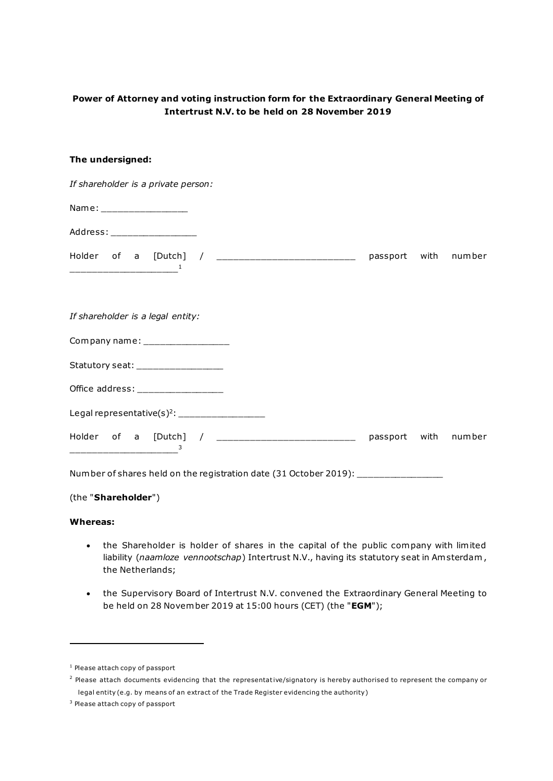# **Power of Attorney and voting instruction form for the Extraordinary General Meeting of Intertrust N.V. to be held on 28 November 2019**

### **The undersigned:**

*If shareholder is a private person:*

Name: \_\_\_\_\_\_\_\_\_\_\_\_\_\_\_\_

Address: \_\_\_\_\_\_\_\_\_\_\_\_\_\_\_\_\_\_\_\_\_

| Holder of a [Dutch] | passport with number |  |
|---------------------|----------------------|--|
|                     |                      |  |

#### *If shareholder is a legal entity:*

Company name:

| Statutory seat: |  |
|-----------------|--|
|                 |  |

| Office address: |  |
|-----------------|--|
|                 |  |

| Legal representative $(s)^2$ : |  |
|--------------------------------|--|
|--------------------------------|--|

3

Holder of a [Dutch] / \_\_\_\_\_\_\_\_\_\_\_\_\_\_\_\_\_\_\_\_\_\_\_\_\_ passport with number

Number of shares held on the registration date (31 October 2019): \_\_\_\_\_\_\_\_\_\_\_\_\_\_

### (the "**Shareholder**")

\_\_\_\_\_\_\_\_\_\_\_\_\_\_\_\_\_\_\_\_

## **Whereas:**

- the Shareholder is holder of shares in the capital of the public company with limited liability (*naamloze vennootschap*) Intertrust N.V., having its statutory seat in Am sterdam , the Netherlands;
- the Supervisory Board of Intertrust N.V. convened the Extraordinary General Meeting to be held on 28 November 2019 at 15:00 hours (CET) (the "**EGM**");

<sup>1</sup> Please attach copy of passport

<sup>&</sup>lt;sup>2</sup> Please attach documents evidencing that the representative/signatory is hereby authorised to represent the company or legal entity (e.g. by means of an extract of the Trade Register evidencing the authority)

<sup>&</sup>lt;sup>3</sup> Please attach copy of passport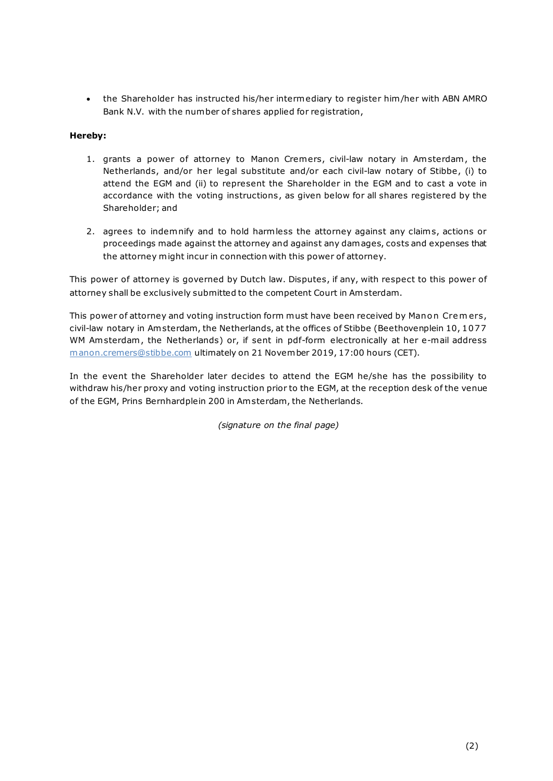• the Shareholder has instructed his/her intermediary to register him/her with ABN AMRO Bank N.V. with the number of shares applied for registration,

## **Hereby:**

- 1. grants a power of attorney to Manon Cremers, civil-law notary in Am sterdam , the Netherlands, and/or her legal substitute and/or each civil-law notary of Stibbe, (i) to attend the EGM and (ii) to represent the Shareholder in the EGM and to cast a vote in accordance with the voting instructions, as given below for all shares registered by the Shareholder; and
- 2. agrees to indemnify and to hold harmless the attorney against any claims, actions or proceedings made against the attorney and against any damages, costs and expenses that the attorney might incur in connection with this power of attorney.

This power of attorney is governed by Dutch law. Disputes, if any, with respect to this power of attorney shall be exclusively submitted to the competent Court in Am sterdam.

This power of attorney and voting instruction form must have been received by Manon Crem ers, civil-law notary in Am sterdam, the Netherlands, at the offices of Stibbe (Beethovenplein 10, 1077 WM Amsterdam, the Netherlands) or, if sent in pdf-form electronically at her e-mail address manon.cremers@stibbe.com ultimately on 21 November 2019, 17:00 hours (CET).

In the event the Shareholder later decides to attend the EGM he/she has the possibility to withdraw his/her proxy and voting instruction prior to the EGM, at the reception desk of the venue of the EGM, Prins Bernhardplein 200 in Am sterdam, the Netherlands.

*(signature on the final page)*